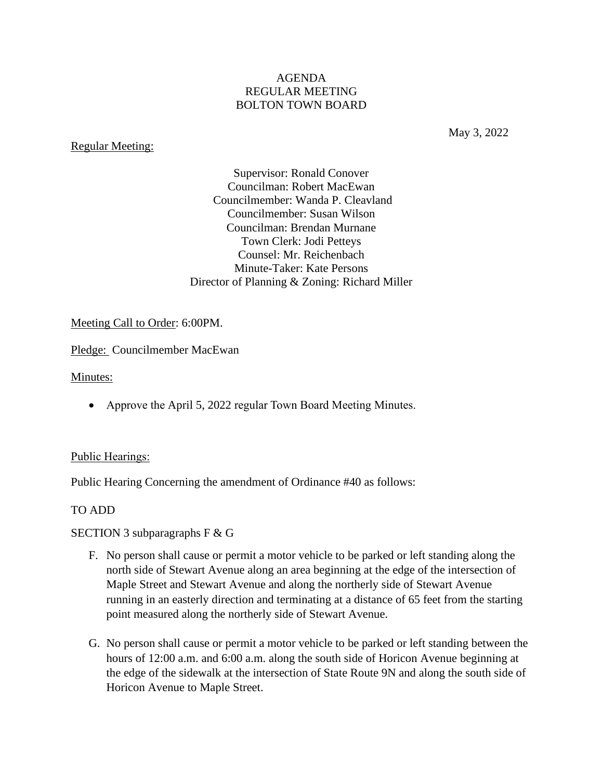## AGENDA REGULAR MEETING BOLTON TOWN BOARD

#### Regular Meeting:

May 3, 2022

Supervisor: Ronald Conover Councilman: Robert MacEwan Councilmember: Wanda P. Cleavland Councilmember: Susan Wilson Councilman: Brendan Murnane Town Clerk: Jodi Petteys Counsel: Mr. Reichenbach Minute-Taker: Kate Persons Director of Planning & Zoning: Richard Miller

### Meeting Call to Order: 6:00PM.

Pledge: Councilmember MacEwan

Minutes:

• Approve the April 5, 2022 regular Town Board Meeting Minutes.

### Public Hearings:

Public Hearing Concerning the amendment of Ordinance #40 as follows:

### TO ADD

SECTION 3 subparagraphs F & G

- F. No person shall cause or permit a motor vehicle to be parked or left standing along the north side of Stewart Avenue along an area beginning at the edge of the intersection of Maple Street and Stewart Avenue and along the northerly side of Stewart Avenue running in an easterly direction and terminating at a distance of 65 feet from the starting point measured along the northerly side of Stewart Avenue.
- G. No person shall cause or permit a motor vehicle to be parked or left standing between the hours of 12:00 a.m. and 6:00 a.m. along the south side of Horicon Avenue beginning at the edge of the sidewalk at the intersection of State Route 9N and along the south side of Horicon Avenue to Maple Street.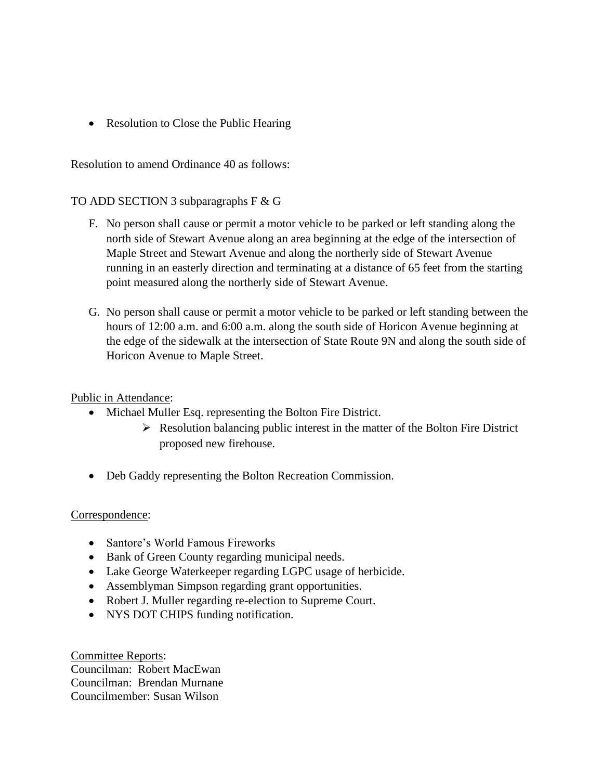• Resolution to Close the Public Hearing

Resolution to amend Ordinance 40 as follows:

## TO ADD SECTION 3 subparagraphs F & G

- F. No person shall cause or permit a motor vehicle to be parked or left standing along the north side of Stewart Avenue along an area beginning at the edge of the intersection of Maple Street and Stewart Avenue and along the northerly side of Stewart Avenue running in an easterly direction and terminating at a distance of 65 feet from the starting point measured along the northerly side of Stewart Avenue.
- G. No person shall cause or permit a motor vehicle to be parked or left standing between the hours of 12:00 a.m. and 6:00 a.m. along the south side of Horicon Avenue beginning at the edge of the sidewalk at the intersection of State Route 9N and along the south side of Horicon Avenue to Maple Street.

# Public in Attendance:

- Michael Muller Esq. representing the Bolton Fire District.
	- ➢ Resolution balancing public interest in the matter of the Bolton Fire District proposed new firehouse.
- Deb Gaddy representing the Bolton Recreation Commission.

### Correspondence:

- Santore's World Famous Fireworks
- Bank of Green County regarding municipal needs.
- Lake George Waterkeeper regarding LGPC usage of herbicide.
- Assemblyman Simpson regarding grant opportunities.
- Robert J. Muller regarding re-election to Supreme Court.
- NYS DOT CHIPS funding notification.

Committee Reports: Councilman: Robert MacEwan Councilman: Brendan Murnane Councilmember: Susan Wilson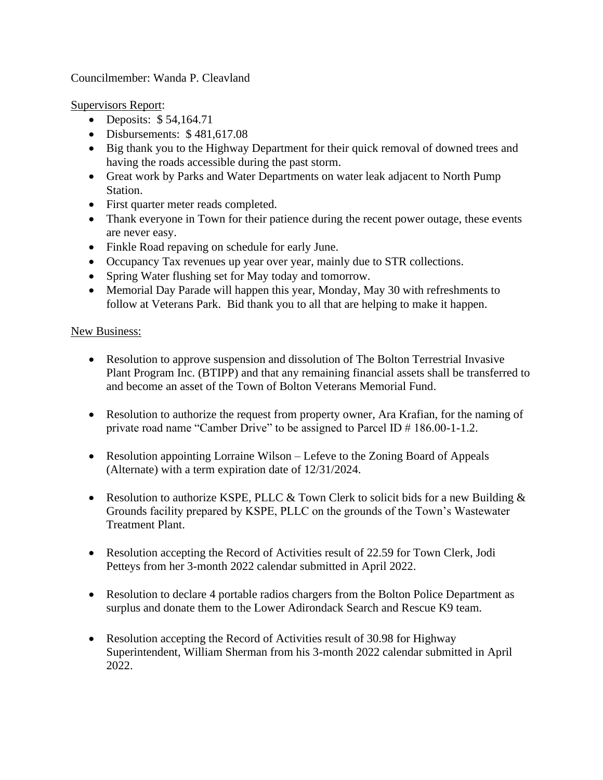Councilmember: Wanda P. Cleavland

Supervisors Report:

- Deposits: \$54,164.71
- Disbursements: \$481,617.08
- Big thank you to the Highway Department for their quick removal of downed trees and having the roads accessible during the past storm.
- Great work by Parks and Water Departments on water leak adjacent to North Pump Station.
- First quarter meter reads completed.
- Thank everyone in Town for their patience during the recent power outage, these events are never easy.
- Finkle Road repaving on schedule for early June.
- Occupancy Tax revenues up year over year, mainly due to STR collections.
- Spring Water flushing set for May today and tomorrow.
- Memorial Day Parade will happen this year, Monday, May 30 with refreshments to follow at Veterans Park. Bid thank you to all that are helping to make it happen.

## New Business:

- Resolution to approve suspension and dissolution of The Bolton Terrestrial Invasive Plant Program Inc. (BTIPP) and that any remaining financial assets shall be transferred to and become an asset of the Town of Bolton Veterans Memorial Fund.
- Resolution to authorize the request from property owner, Ara Krafian, for the naming of private road name "Camber Drive" to be assigned to Parcel ID # 186.00-1-1.2.
- Resolution appointing Lorraine Wilson Lefeve to the Zoning Board of Appeals (Alternate) with a term expiration date of 12/31/2024.
- Resolution to authorize KSPE, PLLC  $&$  Town Clerk to solicit bids for a new Building  $&$ Grounds facility prepared by KSPE, PLLC on the grounds of the Town's Wastewater Treatment Plant.
- Resolution accepting the Record of Activities result of 22.59 for Town Clerk, Jodi Petteys from her 3-month 2022 calendar submitted in April 2022.
- Resolution to declare 4 portable radios chargers from the Bolton Police Department as surplus and donate them to the Lower Adirondack Search and Rescue K9 team.
- Resolution accepting the Record of Activities result of 30.98 for Highway Superintendent, William Sherman from his 3-month 2022 calendar submitted in April 2022.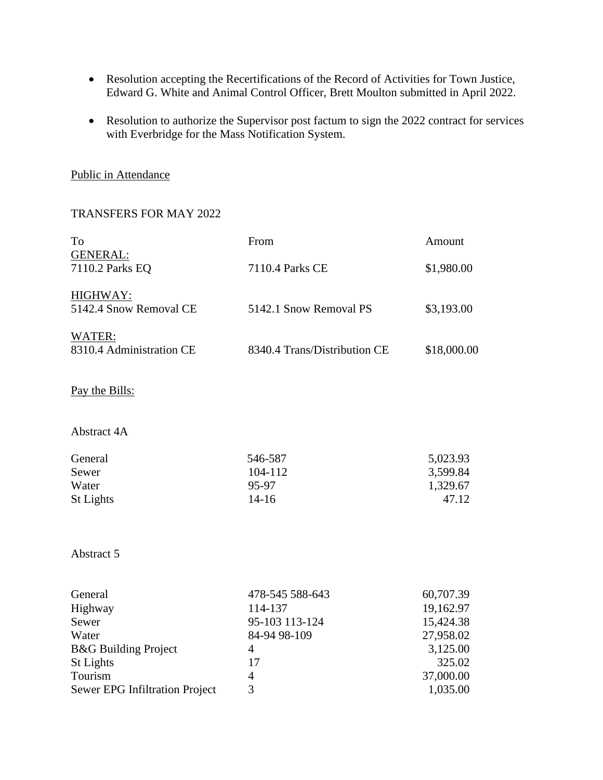- Resolution accepting the Recertifications of the Record of Activities for Town Justice, Edward G. White and Animal Control Officer, Brett Moulton submitted in April 2022.
- Resolution to authorize the Supervisor post factum to sign the 2022 contract for services with Everbridge for the Mass Notification System.

## Public in Attendance

## TRANSFERS FOR MAY 2022

| To                                 | From                         | Amount      |
|------------------------------------|------------------------------|-------------|
| <b>GENERAL:</b><br>7110.2 Parks EQ | 7110.4 Parks CE              | \$1,980.00  |
| HIGHWAY:<br>5142.4 Snow Removal CE | 5142.1 Snow Removal PS       | \$3,193.00  |
| WATER:<br>8310.4 Administration CE | 8340.4 Trans/Distribution CE | \$18,000.00 |
| Pay the Bills:                     |                              |             |
| Abstract 4A                        |                              |             |
| General                            | 546-587                      | 5,023.93    |
| Sewer                              | 104-112                      | 3,599.84    |
| Water                              | 95-97                        | 1,329.67    |

Abstract 5

| 478-545 588-643 | 60,707.39 |
|-----------------|-----------|
| 114-137         | 19,162.97 |
| 95-103 113-124  | 15,424.38 |
| 84-94 98-109    | 27,958.02 |
| 4               | 3,125.00  |
| 17              | 325.02    |
| 4               | 37,000.00 |
| 3               | 1,035.00  |
|                 |           |

St Lights 47.12